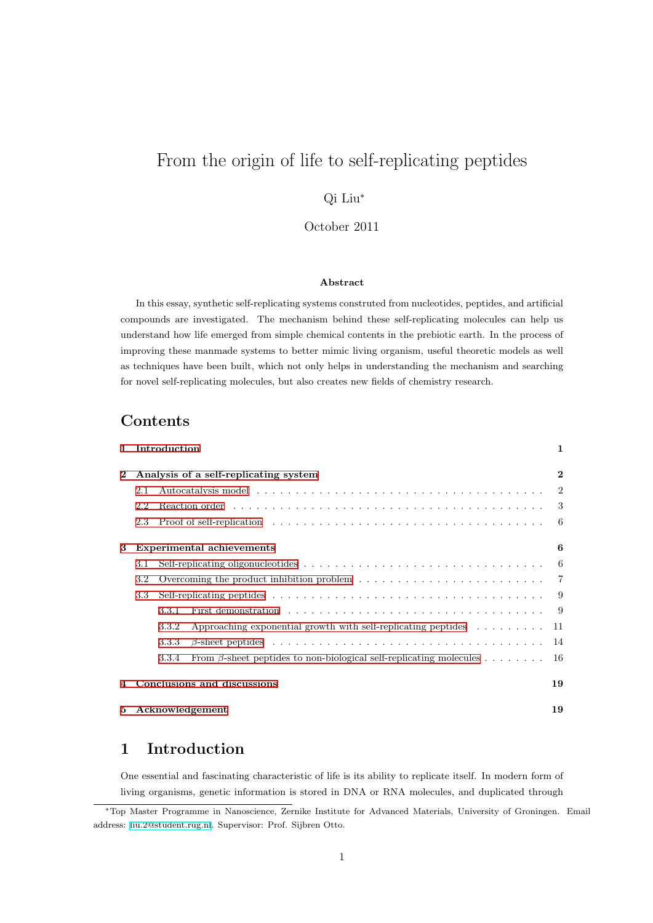# From the origin of life to self-replicating peptides

## Qi Liu*<sup>∗</sup>*

### October 2011

#### **Abstract**

In this essay, synthetic self-replicating systems construted from nucleotides, peptides, and artificial compounds are investigated. The mechanism behind these self-replicating molecules can help us understand how life emerged from simple chemical contents in the prebiotic earth. In the process of improving these manmade systems to better mimic living organism, useful theoretic models as well as techniques have been built, which not only helps in understanding the mechanism and searching for novel self-replicating molecules, but also creates new fields of chemistry research.

# **Contents**

| $\mathbf{1}$ |                                       | Introduction                                                                                      |                                                                             | 1              |
|--------------|---------------------------------------|---------------------------------------------------------------------------------------------------|-----------------------------------------------------------------------------|----------------|
| $\mathbf{2}$ | Analysis of a self-replicating system |                                                                                                   |                                                                             |                |
|              | 2.1                                   |                                                                                                   |                                                                             | $\overline{2}$ |
|              | 2.2                                   |                                                                                                   |                                                                             | -3             |
|              | 2.3                                   |                                                                                                   |                                                                             | -6             |
| 3            | <b>Experimental achievements</b>      |                                                                                                   |                                                                             | 6              |
|              | 3.1                                   |                                                                                                   |                                                                             | -6             |
|              | 3.2                                   | Overcoming the product inhibition problem $\dots \dots \dots \dots \dots \dots \dots \dots \dots$ |                                                                             |                |
|              | 3.3                                   |                                                                                                   |                                                                             | 9              |
|              |                                       | 3.3.1                                                                                             |                                                                             | - 9            |
|              |                                       | 3.3.2                                                                                             | Approaching exponential growth with self-replicating peptides $\dots \dots$ | 11             |
|              |                                       | 3.3.3                                                                                             |                                                                             | 14             |
|              |                                       | 3.3.4                                                                                             | From $\beta$ -sheet peptides to non-biological self-replicating molecules   | -16            |
|              |                                       | Conclusions and discussions                                                                       |                                                                             |                |
| 5.           | Acknowledgement                       |                                                                                                   |                                                                             | 19             |

# **[1 Introduction](#page-18-0)**

One essential and fascinating characteristic of life is its ability to replicate itself. In modern form of living organisms, genetic information is stored in DNA or RNA molecules, and duplicated through

<span id="page-0-0"></span>*<sup>∗</sup>*Top Master Programme in Nanoscience, Zernike Institute for Advanced Materials, University of Groningen. Email address: liu.2@student.rug.nl. Supervisor: Prof. Sijbren Otto.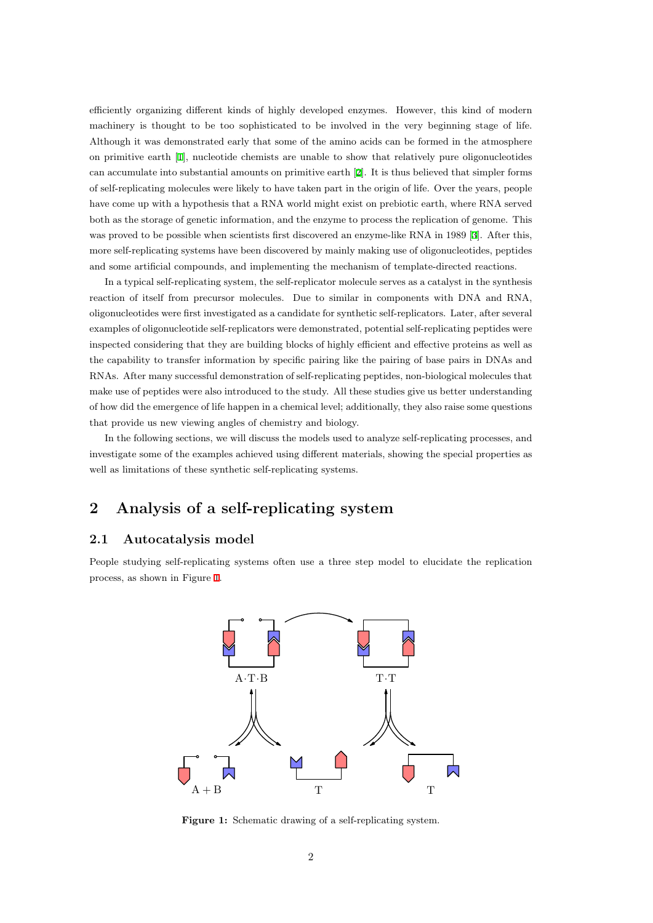efficiently organizing different kinds of highly developed enzymes. However, this kind of modern machinery is thought to be too sophisticated to be involved in the very beginning stage of life. Although it was demonstrated early that some of the amino acids can be formed in the atmosphere on primitive earth [1], nucleotide chemists are unable to show that relatively pure oligonucleotides can accumulate into substantial amounts on primitive earth [2]. It is thus believed that simpler forms of self-replicating molecules were likely to have taken part in the origin of life. Over the years, people have come up with [a h](#page-18-1)ypothesis that a RNA world might exist on prebiotic earth, where RNA served both as the storage of genetic information, and the enzyme to process the replication of genome. This was proved to be possible when scientists first discovered an [en](#page-18-2)zyme-like RNA in 1989 [3]. After this, more self-replicating systems have been discovered by mainly making use of oligonucleotides, peptides and some artificial compounds, and implementing the mechanism of template-directed reactions.

In a typical self-replicating system, the self-replicator molecule serves as a catalyst i[n t](#page-18-3)he synthesis reaction of itself from precursor molecules. Due to similar in components with DNA and RNA, oligonucleotides were first investigated as a candidate for synthetic self-replicators. Later, after several examples of oligonucleotide self-replicators were demonstrated, potential self-replicating peptides were inspected considering that they are building blocks of highly efficient and effective proteins as well as the capability to transfer information by specific pairing like the pairing of base pairs in DNAs and RNAs. After many successful demonstration of self-replicating peptides, non-biological molecules that make use of peptides were also introduced to the study. All these studies give us better understanding of how did the emergence of life happen in a chemical level; additionally, they also raise some questions that provide us new viewing angles of chemistry and biology.

In the following sections, we will discuss the models used to analyze self-replicating processes, and investigate some of the examples achieved using different materials, showing the special properties as well as limitations of these synthetic self-replicating systems.

# **2 Analysis of a self-replicating system**

### <span id="page-1-0"></span>**2.1 Autocatalysis model**

<span id="page-1-1"></span>People studying self-replicating systems often use a three step model to elucidate the replication process, as shown in Figure 1.



**Figure 1:** Schematic drawing of a self-replicating system.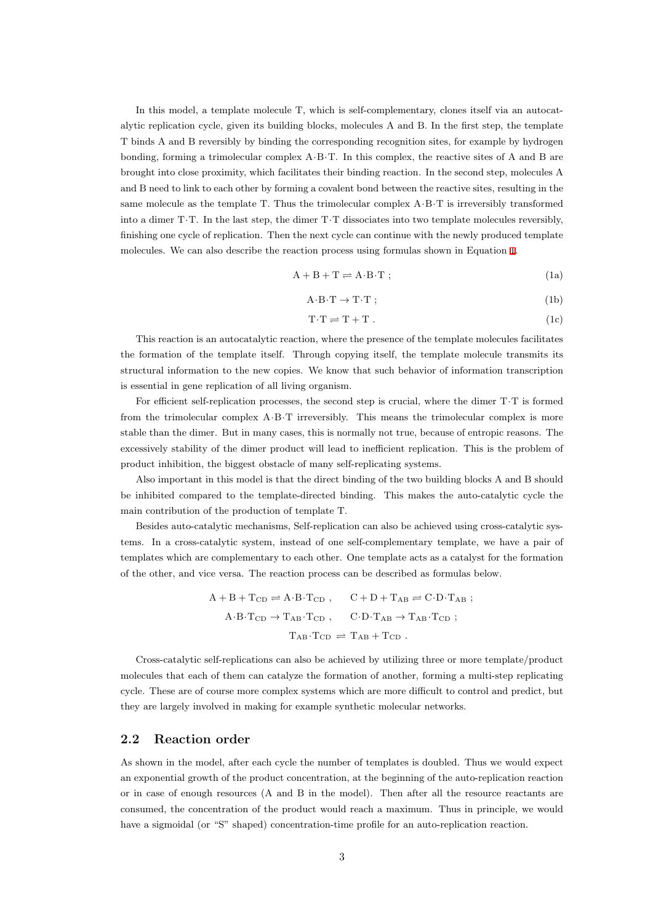In this model, a template molecule T, which is self-complementary, clones itself via an autocatalytic replication cycle, given its building blocks, molecules A and B. In the first step, the template T binds A and B reversibly by binding the corresponding recognition sites, for example by hydrogen bonding, forming a trimolecular complex A*·*B*·*T. In this complex, the reactive sites of A and B are brought into close proximity, which facilitates their binding reaction. In the second step, molecules A and B need to link to each other by forming a covalent bond between the reactive sites, resulting in the same molecule as the template T. Thus the trimolecular complex A*·*B*·*T is irreversibly transformed into a dimer T*·*T. In the last step, the dimer T*·*T dissociates into two template molecules reversibly, finishing one cycle of replication. Then the next cycle can continue with the newly produced template molecules. We can also describe the reaction process using formulas shown in Equation 1.

$$
A + B + T \rightleftharpoons A \cdot B \cdot T \tag{1a}
$$

$$
A \cdot B \cdot T \to T \cdot T \tag{1b}
$$

$$
T \cdot T \rightleftharpoons T + T \ . \tag{1c}
$$

This reaction is an autocatalytic reaction, where the presence of the template molecules facilitates the formation of the template itself. Through copying itself, the template molecule transmits its structural information to the new copies. We know that such behavior of information transcription is essential in gene replication of all living organism.

For efficient self-replication processes, the second step is crucial, where the dimer T*·*T is formed from the trimolecular complex A*·*B*·*T irreversibly. This means the trimolecular complex is more stable than the dimer. But in many cases, this is normally not true, because of entropic reasons. The excessively stability of the dimer product will lead to inefficient replication. This is the problem of product inhibition, the biggest obstacle of many self-replicating systems.

Also important in this model is that the direct binding of the two building blocks A and B should be inhibited compared to the template-directed binding. This makes the auto-catalytic cycle the main contribution of the production of template T.

Besides auto-catalytic mechanisms, Self-replication can also be achieved using cross-catalytic systems. In a cross-catalytic system, instead of one self-complementary template, we have a pair of templates which are complementary to each other. One template acts as a catalyst for the formation of the other, and vice versa. The reaction process can be described as formulas below.

$$
A + B + T_{CD} \rightleftharpoons A \cdot B \cdot T_{CD} , \qquad C + D + T_{AB} \rightleftharpoons C \cdot D \cdot T_{AB} ;
$$
  
\n
$$
A \cdot B \cdot T_{CD} \rightarrow T_{AB} \cdot T_{CD} , \qquad C \cdot D \cdot T_{AB} \rightarrow T_{AB} \cdot T_{CD} ;
$$
  
\n
$$
T_{AB} \cdot T_{CD} \rightleftharpoons T_{AB} + T_{CD} .
$$

Cross-catalytic self-replications can also be achieved by utilizing three or more template/product molecules that each of them can catalyze the formation of another, forming a multi-step replicating cycle. These are of course more complex systems which are more difficult to control and predict, but they are largely involved in making for example synthetic molecular networks.

#### **2.2 Reaction order**

<span id="page-2-0"></span>As shown in the model, after each cycle the number of templates is doubled. Thus we would expect an exponential growth of the product concentration, at the beginning of the auto-replication reaction or in case of enough resources (A and B in the model). Then after all the resource reactants are consumed, the concentration of the product would reach a maximum. Thus in principle, we would have a sigmoidal (or "S" shaped) concentration-time profile for an auto-replication reaction.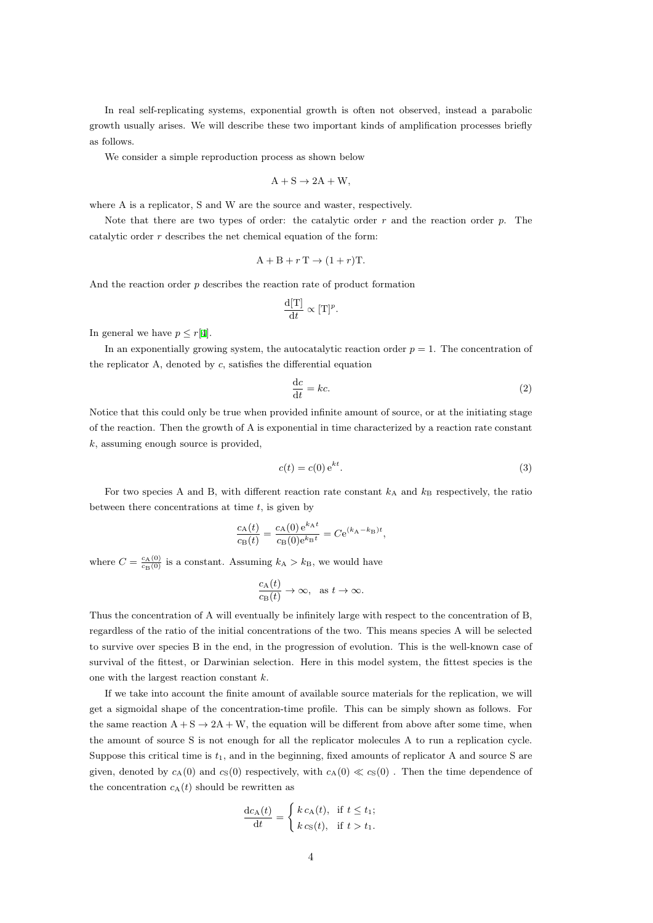In real self-replicating systems, exponential growth is often not observed, instead a parabolic growth usually arises. We will describe these two important kinds of amplification processes briefly as follows.

We consider a simple reproduction process as shown below

$$
A + S \rightarrow 2A + W,
$$

where A is a replicator, S and W are the source and waster, respectively.

Note that there are two types of order: the catalytic order *r* and the reaction order *p*. The catalytic order *r* describes the net chemical equation of the form:

$$
A + B + rT \rightarrow (1 + r)T.
$$

And the reaction order *p* describes the reaction rate of product formation

$$
\frac{\mathrm{d}[\mathrm{T}]}{\mathrm{d}t} \propto [\mathrm{T}]^p.
$$

In general we have  $p \leq r[4]$ .

In an exponentially growing system, the autocatalytic reaction order  $p = 1$ . The concentration of the replicator A, denoted by *c*, satisfies the differential equation

$$
\frac{\mathrm{d}c}{\mathrm{d}t} = kc.\tag{2}
$$

Notice that this could only be true when provided infinite amount of source, or at the initiating stage of the reaction. Then the growth of A is exponential in time characterized by a reaction rate constant *k*, assuming enough source is provided,

$$
c(t) = c(0) e^{kt}.
$$
\n
$$
(3)
$$

For two species A and B, with different reaction rate constant  $k_A$  and  $k_B$  respectively, the ratio between there concentrations at time *t*, is given by

$$
\frac{c_{\mathcal{A}}(t)}{c_{\mathcal{B}}(t)} = \frac{c_{\mathcal{A}}(0) e^{k_{\mathcal{A}}t}}{c_{\mathcal{B}}(0) e^{k_{\mathcal{B}}t}} = C e^{(k_{\mathcal{A}} - k_{\mathcal{B}})t},
$$

where  $C = \frac{c_A(0)}{c_B(0)}$  is a constant. Assuming  $k_A > k_B$ , we would have

$$
\frac{c_{\mathcal{A}}(t)}{c_{\mathcal{B}}(t)} \to \infty, \text{ as } t \to \infty.
$$

Thus the concentration of A will eventually be infinitely large with respect to the concentration of B, regardless of the ratio of the initial concentrations of the two. This means species A will be selected to survive over species B in the end, in the progression of evolution. This is the well-known case of survival of the fittest, or Darwinian selection. Here in this model system, the fittest species is the one with the largest reaction constant *k*.

If we take into account the finite amount of available source materials for the replication, we will get a sigmoidal shape of the concentration-time profile. This can be simply shown as follows. For the same reaction  $A + S \rightarrow 2A + W$ , the equation will be different from above after some time, when the amount of source S is not enough for all the replicator molecules A to run a replication cycle. Suppose this critical time is *t*1, and in the beginning, fixed amounts of replicator A and source S are given, denoted by  $c_A(0)$  and  $c_S(0)$  respectively, with  $c_A(0) \ll c_S(0)$ . Then the time dependence of the concentration  $c_A(t)$  should be rewritten as

$$
\frac{\mathrm{d}c_{\mathbf{A}}(t)}{\mathrm{d}t} = \begin{cases} k c_{\mathbf{A}}(t), & \text{if } t \leq t_1; \\ k c_{\mathbf{S}}(t), & \text{if } t > t_1. \end{cases}
$$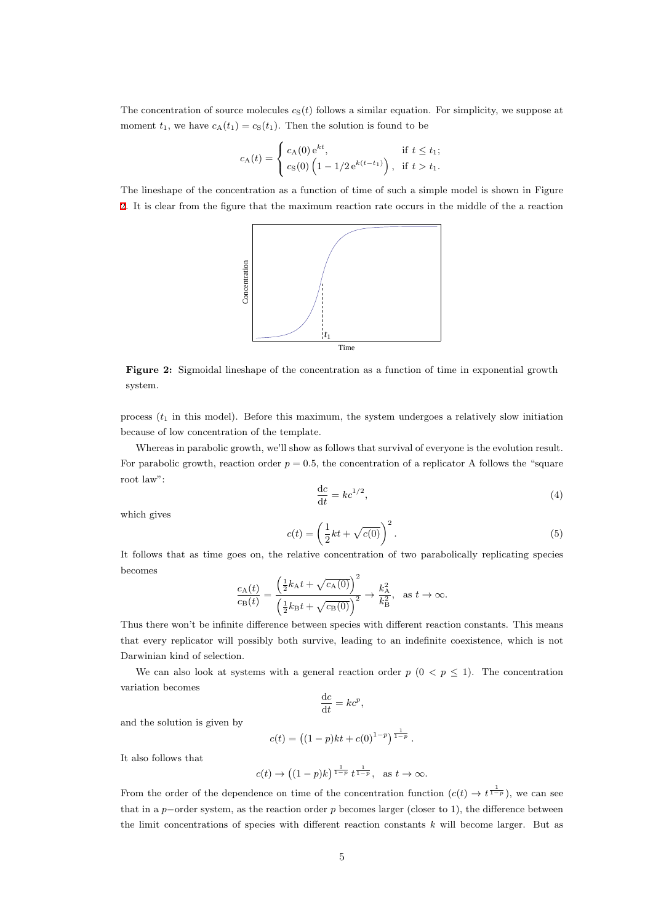The concentration of source molecules  $c_S(t)$  follows a similar equation. For simplicity, we suppose at moment  $t_1$ , we have  $c_A(t_1) = c_S(t_1)$ . Then the solution is found to be

$$
c_{A}(t) = \begin{cases} c_{A}(0) e^{kt}, & \text{if } t \leq t_{1}; \\ c_{S}(0) \left(1 - 1/2 e^{k(t - t_{1})}\right), & \text{if } t > t_{1}. \end{cases}
$$

The lineshape of the concentration as a function of time of such a simple model is shown in Figure 2. It is clear from the figure that the maximum reaction rate occurs in the middle of the a reaction



**Figure 2:** Sigmoidal lineshape of the concentration as a function of time in exponential growth system.

process  $(t_1$  in this model). Before this maximum, the system undergoes a relatively slow initiation because of low concentration of the template.

Whereas in parabolic growth, we'll show as follows that survival of everyone is the evolution result. For parabolic growth, reaction order  $p = 0.5$ , the concentration of a replicator A follows the "square" root law":

$$
\frac{\mathrm{d}c}{\mathrm{d}t} = kc^{1/2},\tag{4}
$$

which gives

$$
c(t) = \left(\frac{1}{2}kt + \sqrt{c(0)}\right)^2.
$$
\n(5)

It follows that as time goes on, the relative concentration of two parabolically replicating species becomes

$$
\frac{c_{\mathcal{A}}(t)}{c_{\mathcal{B}}(t)} = \frac{\left(\frac{1}{2}k_{\mathcal{A}}t + \sqrt{c_{\mathcal{A}}(0)}\right)^2}{\left(\frac{1}{2}k_{\mathcal{B}}t + \sqrt{c_{\mathcal{B}}(0)}\right)^2} \to \frac{k_{\mathcal{A}}^2}{k_{\mathcal{B}}^2}, \text{ as } t \to \infty.
$$

Thus there won't be infinite difference between species with different reaction constants. This means that every replicator will possibly both survive, leading to an indefinite coexistence, which is not Darwinian kind of selection.

We can also look at systems with a general reaction order  $p$  ( $0 < p \le 1$ ). The concentration variation becomes

$$
\frac{\mathrm{d}c}{\mathrm{d}t} = kc^p,
$$

and the solution is given by

$$
c(t) = ((1 - p)kt + c(0)^{1-p})^{\frac{1}{1-p}}.
$$

It also follows that

$$
c(t) \to ((1-p)k)^{\frac{1}{1-p}} t^{\frac{1}{1-p}}, \text{ as } t \to \infty.
$$

From the order of the dependence on time of the concentration function  $(c(t) \to t^{\frac{1}{1-p}})$ , we can see that in a *p−*order system, as the reaction order *p* becomes larger (closer to 1), the difference between the limit concentrations of species with different reaction constants *k* will become larger. But as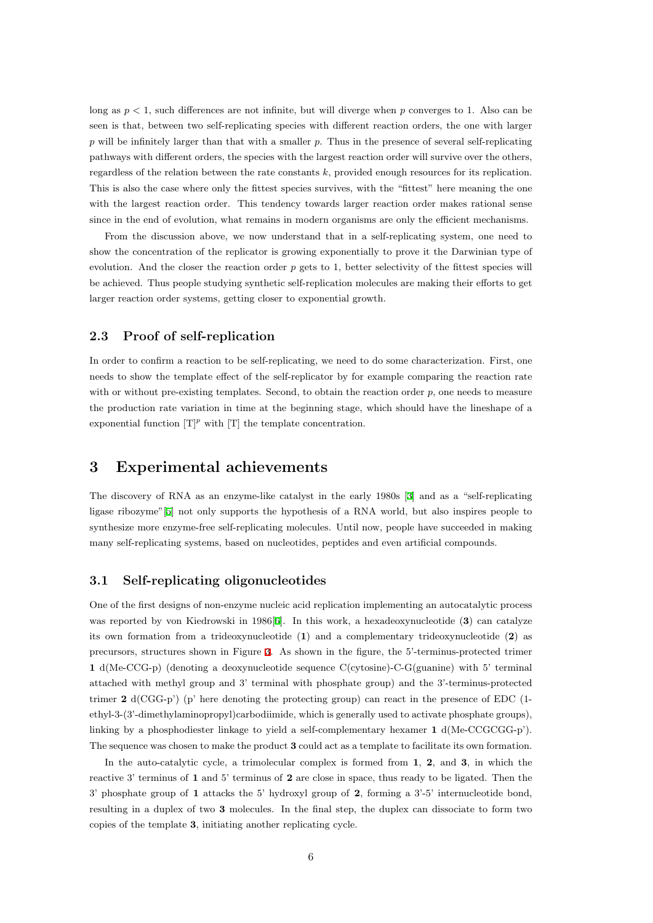long as *p <* 1, such differences are not infinite, but will diverge when *p* converges to 1. Also can be seen is that, between two self-replicating species with different reaction orders, the one with larger *p* will be infinitely larger than that with a smaller *p*. Thus in the presence of several self-replicating pathways with different orders, the species with the largest reaction order will survive over the others, regardless of the relation between the rate constants *k*, provided enough resources for its replication. This is also the case where only the fittest species survives, with the "fittest" here meaning the one with the largest reaction order. This tendency towards larger reaction order makes rational sense since in the end of evolution, what remains in modern organisms are only the efficient mechanisms.

From the discussion above, we now understand that in a self-replicating system, one need to show the concentration of the replicator is growing exponentially to prove it the Darwinian type of evolution. And the closer the reaction order p gets to 1, better selectivity of the fittest species will be achieved. Thus people studying synthetic self-replication molecules are making their efforts to get larger reaction order systems, getting closer to exponential growth.

#### **2.3 Proof of self-replication**

<span id="page-5-0"></span>In order to confirm a reaction to be self-replicating, we need to do some characterization. First, one needs to show the template effect of the self-replicator by for example comparing the reaction rate with or without pre-existing templates. Second, to obtain the reaction order  $p$ , one needs to measure the production rate variation in time at the beginning stage, which should have the lineshape of a exponential function  $[T]^p$  with  $[T]$  the template concentration.

## **3 Experimental achievements**

<span id="page-5-1"></span>The discovery of RNA as an enzyme-like catalyst in the early 1980s [3] and as a "self-replicating ligase ribozyme"[5] not only supports the hypothesis of a RNA world, but also inspires people to synthesize more enzyme-free self-replicating molecules. Until now, people have succeeded in making many self-replicating systems, based on nucleotides, peptides and even [ar](#page-18-3)tificial compounds.

### **3.1 Self-replicating oligonucleotides**

<span id="page-5-2"></span>One of the first designs of non-enzyme nucleic acid replication implementing an autocatalytic process was reported by von Kiedrowski in 1986[6]. In this work, a hexadeoxynucleotide (**3**) can catalyze its own formation from a trideoxynucleotide (**1**) and a complementary trideoxynucleotide (**2**) as precursors, structures shown in Figure 3. As shown in the figure, the 5'-terminus-protected trimer **1** d(Me-CCG-p) (denoting a deoxynucleotide sequence C(cytosine)-C-G(guanine) with 5' terminal attached with methyl group and 3' terminal with phosphate group) and the 3'-terminus-protected trimer  $2 \text{ d}(\text{CGG-p'})$  (p' here denoting [th](#page-6-1)e protecting group) can react in the presence of EDC (1ethyl-3-(3'-dimethylaminopropyl)carbodiimide, which is generally used to activate phosphate groups), linking by a phosphodiester linkage to yield a self-complementary hexamer **1** d(Me-CCGCGG-p'). The sequence was chosen to make the product **3** could act as a template to facilitate its own formation.

In the auto-catalytic cycle, a trimolecular complex is formed from **1**, **2**, and **3**, in which the reactive 3' terminus of **1** and 5' terminus of **2** are close in space, thus ready to be ligated. Then the 3' phosphate group of **1** attacks the 5' hydroxyl group of **2**, forming a 3'-5' internucleotide bond, resulting in a duplex of two **3** molecules. In the final step, the duplex can dissociate to form two copies of the template **3**, initiating another replicating cycle.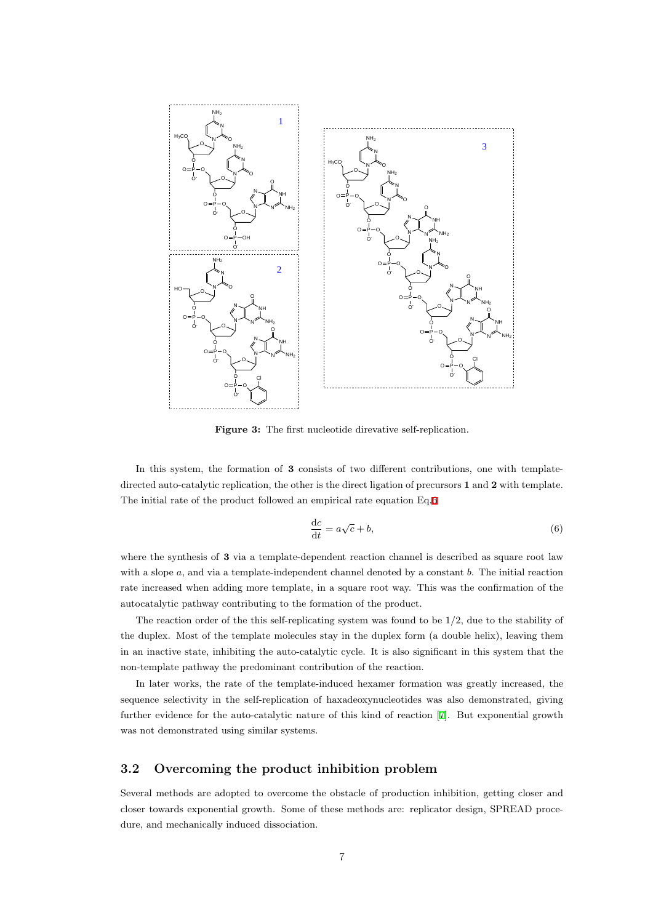<span id="page-6-1"></span>

**Figure 3:** The first nucleotide direvative self-replication.

In this system, the formation of **3** consists of two different contributions, one with templatedirected auto-catalytic replication, the other is the direct ligation of precursors **1** and **2** with template. The initial rate of the product followed an empirical rate equation Eq.6

<span id="page-6-2"></span>
$$
\frac{\mathrm{d}c}{\mathrm{d}t} = a\sqrt{c} + b,\tag{6}
$$

where the synthesis of **3** via a template-dependent reaction channel i[s d](#page-6-2)escribed as square root law with a slope *a*, and via a template-independent channel denoted by a constant *b*. The initial reaction rate increased when adding more template, in a square root way. This was the confirmation of the autocatalytic pathway contributing to the formation of the product.

The reaction order of the this self-replicating system was found to be  $1/2$ , due to the stability of the duplex. Most of the template molecules stay in the duplex form (a double helix), leaving them in an inactive state, inhibiting the auto-catalytic cycle. It is also significant in this system that the non-template pathway the predominant contribution of the reaction.

In later works, the rate of the template-induced hexamer formation was greatly increased, the sequence selectivity in the self-replication of haxadeoxynucleotides was also demonstrated, giving further evidence for the auto-catalytic nature of this kind of reaction [7]. But exponential growth was not demonstrated using similar systems.

### **3.2 Overcoming the product inhibition problem**

<span id="page-6-0"></span>Several methods are adopted to overcome the obstacle of production inhibition, getting closer and closer towards exponential growth. Some of these methods are: replicator design, SPREAD procedure, and mechanically induced dissociation.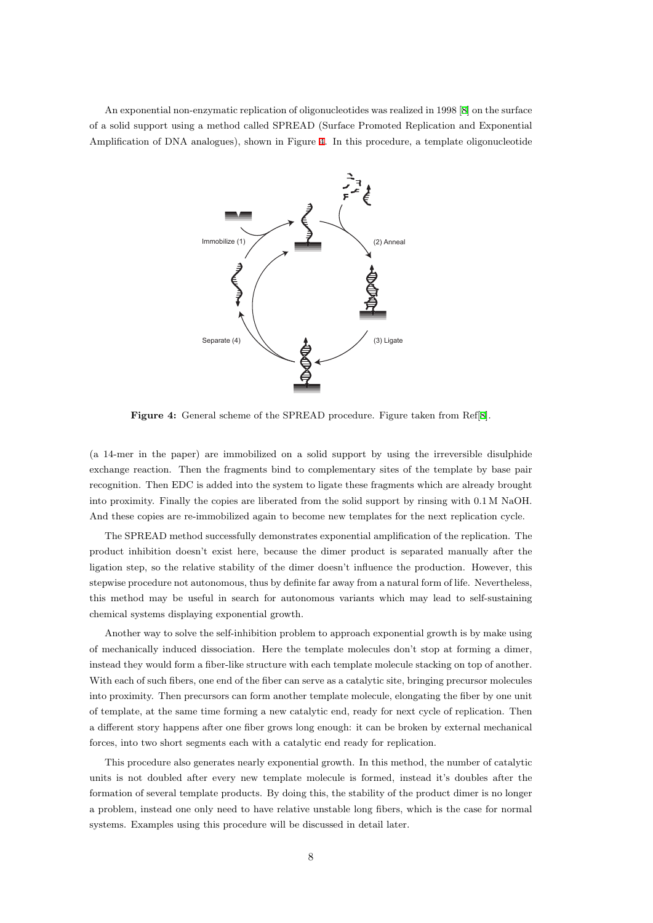An exponential non-enzymatic replication of oligonucleotides was realized in 1998 [8] on the surface of a solid support using a method called SPREAD (Surface Promoted Replication and Exponential Amplification of DNA analogues), shown in Figure 4. In this procedure, a template oligonucleotide



**Figure 4:** General scheme of the SPREAD procedure. Figure taken from Ref[8].

(a 14-mer in the paper) are immobilized on a solid support by using the irreversible disulphide exchange reaction. Then the fragments bind to complementary sites of the template [by](#page-18-4) base pair recognition. Then EDC is added into the system to ligate these fragments which are already brought into proximity. Finally the copies are liberated from the solid support by rinsing with 0.1 M NaOH. And these copies are re-immobilized again to become new templates for the next replication cycle.

The SPREAD method successfully demonstrates exponential amplification of the replication. The product inhibition doesn't exist here, because the dimer product is separated manually after the ligation step, so the relative stability of the dimer doesn't influence the production. However, this stepwise procedure not autonomous, thus by definite far away from a natural form of life. Nevertheless, this method may be useful in search for autonomous variants which may lead to self-sustaining chemical systems displaying exponential growth.

Another way to solve the self-inhibition problem to approach exponential growth is by make using of mechanically induced dissociation. Here the template molecules don't stop at forming a dimer, instead they would form a fiber-like structure with each template molecule stacking on top of another. With each of such fibers, one end of the fiber can serve as a catalytic site, bringing precursor molecules into proximity. Then precursors can form another template molecule, elongating the fiber by one unit of template, at the same time forming a new catalytic end, ready for next cycle of replication. Then a different story happens after one fiber grows long enough: it can be broken by external mechanical forces, into two short segments each with a catalytic end ready for replication.

This procedure also generates nearly exponential growth. In this method, the number of catalytic units is not doubled after every new template molecule is formed, instead it's doubles after the formation of several template products. By doing this, the stability of the product dimer is no longer a problem, instead one only need to have relative unstable long fibers, which is the case for normal systems. Examples using this procedure will be discussed in detail later.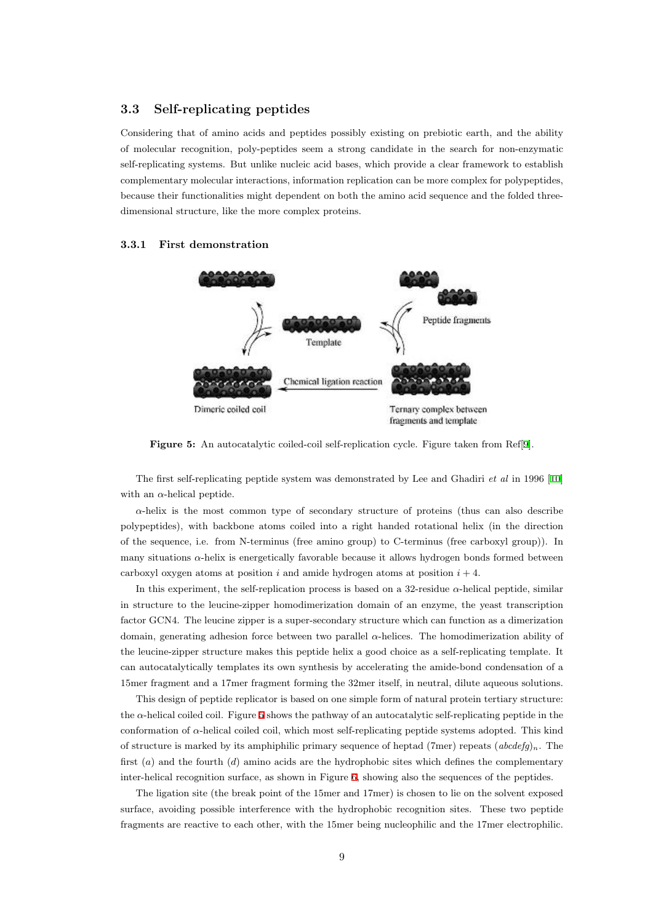### **3.3 Self-replicating peptides**

<span id="page-8-0"></span>Considering that of amino acids and peptides possibly existing on prebiotic earth, and the ability of molecular recognition, poly-peptides seem a strong candidate in the search for non-enzymatic self-replicating systems. But unlike nucleic acid bases, which provide a clear framework to establish complementary molecular interactions, information replication can be more complex for polypeptides, because their functionalities might dependent on both the amino acid sequence and the folded threedimensional structure, like the more complex proteins.

#### <span id="page-8-2"></span><span id="page-8-1"></span>**3.3.1 First demonstration**



**Figure 5:** An autocatalytic coiled-coil self-replication cycle. Figure taken from Ref[9].

The first self-replicating peptide system was demonstrated by Lee and Ghadiri *et al* in 1996 [10] with an  $\alpha$ -helical peptide.

 $\alpha$ -helix is the most common type of secondary structure of proteins (thus can also describe polypeptides), with backbone atoms coiled into a right handed rotational helix (in the direct[ion](#page-18-5) of the sequence, i.e. from N-terminus (free amino group) to C-terminus (free carboxyl group)). In many situations *α*-helix is energetically favorable because it allows hydrogen bonds formed between carboxyl oxygen atoms at position  $i$  and amide hydrogen atoms at position  $i + 4$ .

In this experiment, the self-replication process is based on a 32-residue *α*-helical peptide, similar in structure to the leucine-zipper homodimerization domain of an enzyme, the yeast transcription factor GCN4. The leucine zipper is a super-secondary structure which can function as a dimerization domain, generating adhesion force between two parallel *α*-helices. The homodimerization ability of the leucine-zipper structure makes this peptide helix a good choice as a self-replicating template. It can autocatalytically templates its own synthesis by accelerating the amide-bond condensation of a 15mer fragment and a 17mer fragment forming the 32mer itself, in neutral, dilute aqueous solutions.

This design of peptide replicator is based on one simple form of natural protein tertiary structure: the *α*-helical coiled coil. Figure 5 shows the pathway of an autocatalytic self-replicating peptide in the conformation of *α*-helical coiled coil, which most self-replicating peptide systems adopted. This kind of structure is marked by its amphiphilic primary sequence of heptad (7mer) repeats  $(abcdefg)<sub>n</sub>$ . The first (*a*) and the fourth (*d*) am[in](#page-8-2)o acids are the hydrophobic sites which defines the complementary inter-helical recognition surface, as shown in Figure 6, showing also the sequences of the peptides.

The ligation site (the break point of the 15mer and 17mer) is chosen to lie on the solvent exposed surface, avoiding possible interference with the hydrophobic recognition sites. These two peptide fragments are reactive to each other, with the 15me[r](#page-9-0) being nucleophilic and the 17mer electrophilic.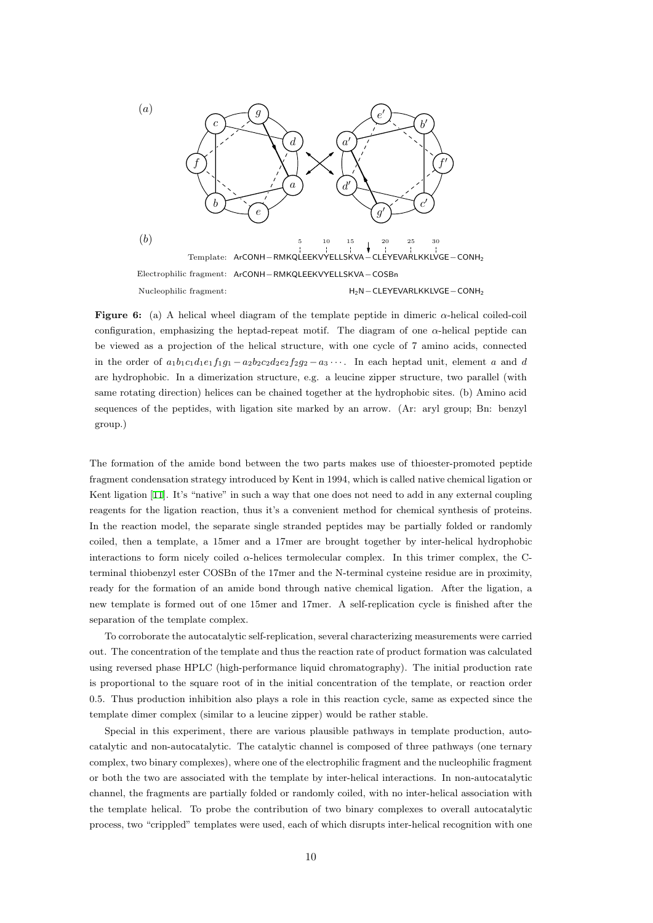<span id="page-9-0"></span>

**Figure 6:** (a) A helical wheel diagram of the template peptide in dimeric *α*-helical coiled-coil configuration, emphasizing the heptad-repeat motif. The diagram of one  $\alpha$ -helical peptide can be viewed as a projection of the helical structure, with one cycle of 7 amino acids, connected in the order of  $a_1b_1c_1d_1e_1f_1g_1-a_2b_2c_2d_2e_2f_2g_2-a_3\cdots$ . In each heptad unit, element a and d are hydrophobic. In a dimerization structure, e.g. a leucine zipper structure, two parallel (with same rotating direction) helices can be chained together at the hydrophobic sites. (b) Amino acid sequences of the peptides, with ligation site marked by an arrow. (Ar: aryl group; Bn: benzyl group.)

The formation of the amide bond between the two parts makes use of thioester-promoted peptide fragment condensation strategy introduced by Kent in 1994, which is called native chemical ligation or Kent ligation [11]. It's "native" in such a way that one does not need to add in any external coupling reagents for the ligation reaction, thus it's a convenient method for chemical synthesis of proteins. In the reaction model, the separate single stranded peptides may be partially folded or randomly coiled, then a [te](#page-18-6)mplate, a 15mer and a 17mer are brought together by inter-helical hydrophobic interactions to form nicely coiled *α*-helices termolecular complex. In this trimer complex, the Cterminal thiobenzyl ester COSBn of the 17mer and the N-terminal cysteine residue are in proximity, ready for the formation of an amide bond through native chemical ligation. After the ligation, a new template is formed out of one 15mer and 17mer. A self-replication cycle is finished after the separation of the template complex.

To corroborate the autocatalytic self-replication, several characterizing measurements were carried out. The concentration of the template and thus the reaction rate of product formation was calculated using reversed phase HPLC (high-performance liquid chromatography). The initial production rate is proportional to the square root of in the initial concentration of the template, or reaction order 0.5. Thus production inhibition also plays a role in this reaction cycle, same as expected since the template dimer complex (similar to a leucine zipper) would be rather stable.

Special in this experiment, there are various plausible pathways in template production, autocatalytic and non-autocatalytic. The catalytic channel is composed of three pathways (one ternary complex, two binary complexes), where one of the electrophilic fragment and the nucleophilic fragment or both the two are associated with the template by inter-helical interactions. In non-autocatalytic channel, the fragments are partially folded or randomly coiled, with no inter-helical association with the template helical. To probe the contribution of two binary complexes to overall autocatalytic process, two "crippled" templates were used, each of which disrupts inter-helical recognition with one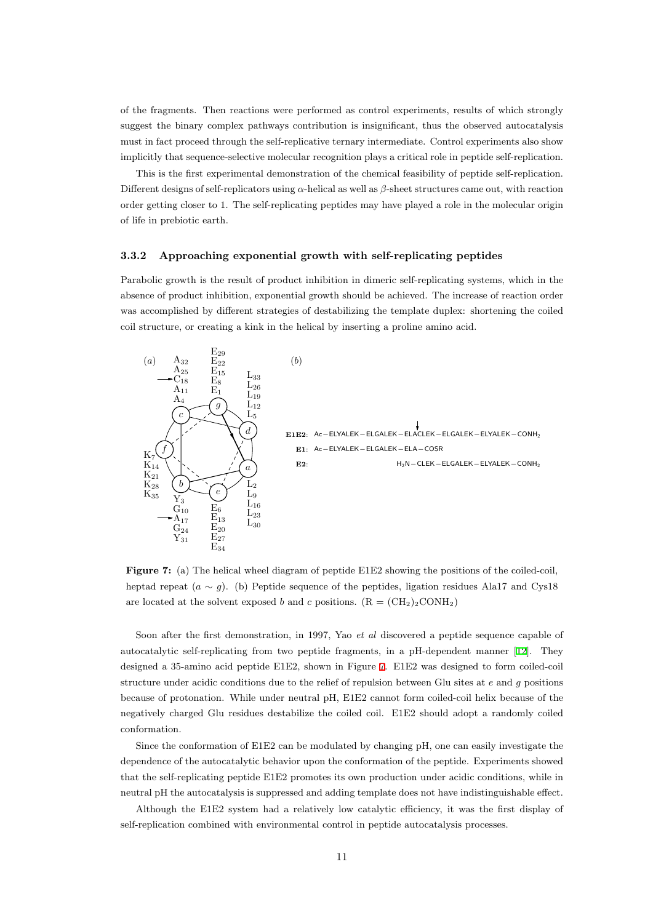of the fragments. Then reactions were performed as control experiments, results of which strongly suggest the binary complex pathways contribution is insignificant, thus the observed autocatalysis must in fact proceed through the self-replicative ternary intermediate. Control experiments also show implicitly that sequence-selective molecular recognition plays a critical role in peptide self-replication.

This is the first experimental demonstration of the chemical feasibility of peptide self-replication. Different designs of self-replicators using *α*-helical as well as *β*-sheet structures came out, with reaction order getting closer to 1. The self-replicating peptides may have played a role in the molecular origin of life in prebiotic earth.

#### **3.3.2 Approaching exponential growth with self-replicating peptides**

<span id="page-10-0"></span>Parabolic growth is the result of product inhibition in dimeric self-replicating systems, which in the absence of product inhibition, exponential growth should be achieved. The increase of reaction order was accomplished by different strategies of destabilizing the template duplex: shortening the coiled coil structure, or creating a kink in the helical by inserting a proline amino acid.

<span id="page-10-1"></span>

**Figure 7:** (a) The helical wheel diagram of peptide E1E2 showing the positions of the coiled-coil, heptad repeat  $(a \sim g)$ . (b) Peptide sequence of the peptides, ligation residues Ala17 and Cys18 are located at the solvent exposed *b* and *c* positions.  $(R = (CH<sub>2</sub>)<sub>2</sub>CONH<sub>2</sub>)$ 

Soon after the first demonstration, in 1997, Yao *et al* discovered a peptide sequence capable of autocatalytic self-replicating from two peptide fragments, in a pH-dependent manner [12]. They designed a 35-amino acid peptide E1E2, shown in Figure 7. E1E2 was designed to form coiled-coil structure under acidic conditions due to the relief of repulsion between Glu sites at *e* and *g* positions because of protonation. While under neutral pH, E1E2 cannot form coiled-coil helix bec[aus](#page-19-0)e of the negatively charged Glu residues destabilize the coiled coi[l.](#page-10-1) E1E2 should adopt a randomly coiled conformation.

Since the conformation of E1E2 can be modulated by changing pH, one can easily investigate the dependence of the autocatalytic behavior upon the conformation of the peptide. Experiments showed that the self-replicating peptide E1E2 promotes its own production under acidic conditions, while in neutral pH the autocatalysis is suppressed and adding template does not have indistinguishable effect.

Although the E1E2 system had a relatively low catalytic efficiency, it was the first display of self-replication combined with environmental control in peptide autocatalysis processes.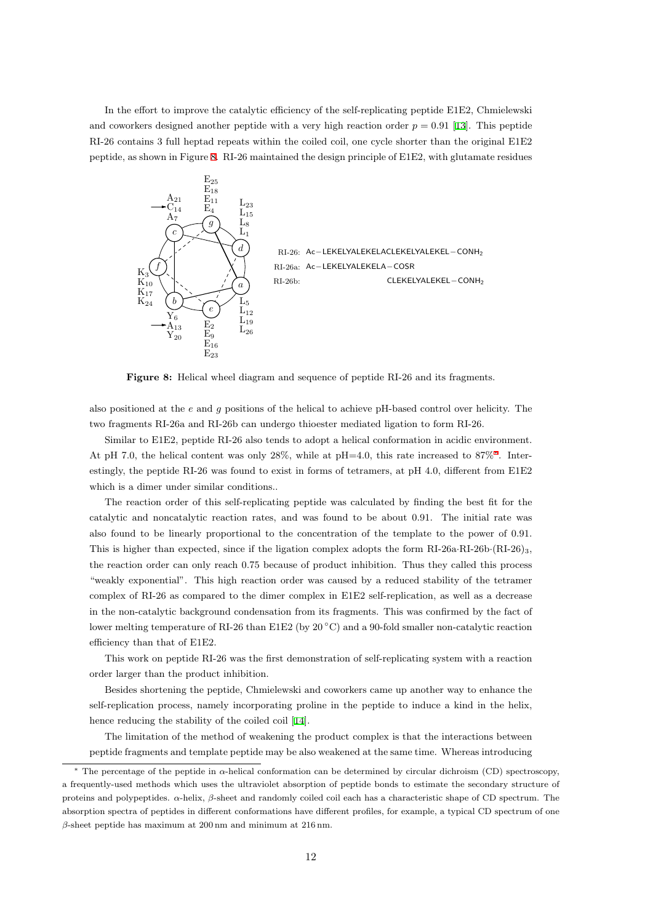In the effort to improve the catalytic efficiency of the self-replicating peptide E1E2, Chmielewski and coworkers designed another peptide with a very high reaction order  $p = 0.91$  [13]. This peptide RI-26 contains 3 full heptad repeats within the coiled coil, one cycle shorter than the original E1E2 peptide, as shown in Figure 8. RI-26 maintained the design principle of E1E2, with glutamate residues

<span id="page-11-0"></span>

**Figure 8:** Helical wheel diagram and sequence of peptide RI-26 and its fragments.

also positioned at the *e* and *g* positions of the helical to achieve pH-based control over helicity. The two fragments RI-26a and RI-26b can undergo thioester mediated ligation to form RI-26.

Similar to E1E2, peptide RI-26 also tends to adopt a helical conformation in acidic environment. At pH 7.0, the helical content was only 28%, while at pH=4.0, this rate increased to 87%*<sup>∗</sup>* . Interestingly, the peptide RI-26 was found to exist in forms of tetramers, at pH 4.0, different from E1E2 which is a dimer under similar conditions..

The reaction order of this self-replicating peptide was calculated by finding the best [fit](#page-11-1) for the catalytic and noncatalytic reaction rates, and was found to be about 0.91. The initial rate was also found to be linearly proportional to the concentration of the template to the power of 0.91. This is higher than expected, since if the ligation complex adopts the form RI-26a*·*RI-26b*·*(RI-26)3, the reaction order can only reach 0.75 because of product inhibition. Thus they called this process "weakly exponential". This high reaction order was caused by a reduced stability of the tetramer complex of RI-26 as compared to the dimer complex in E1E2 self-replication, as well as a decrease in the non-catalytic background condensation from its fragments. This was confirmed by the fact of lower melting temperature of RI-26 than E1E2 (by 20 *◦*C) and a 90-fold smaller non-catalytic reaction efficiency than that of E1E2.

This work on peptide RI-26 was the first demonstration of self-replicating system with a reaction order larger than the product inhibition.

Besides shortening the peptide, Chmielewski and coworkers came up another way to enhance the self-replication process, namely incorporating proline in the peptide to induce a kind in the helix, hence reducing the stability of the coiled coil [14].

The limitation of the method of weakening the product complex is that the interactions between peptide fragments and template peptide may be also weakened at the same time. Whereas introducing

<span id="page-11-1"></span>*<sup>∗</sup>* The percentage of the peptide in *α*-helical conform[atio](#page-19-1)n can be determined by circular dichroism (CD) spectroscopy, a frequently-used methods which uses the ultraviolet absorption of peptide bonds to estimate the secondary structure of proteins and polypeptides. *α*-helix, *β*-sheet and randomly coiled coil each has a characteristic shape of CD spectrum. The absorption spectra of peptides in different conformations have different profiles, for example, a typical CD spectrum of one *β*-sheet peptide has maximum at 200 nm and minimum at 216 nm.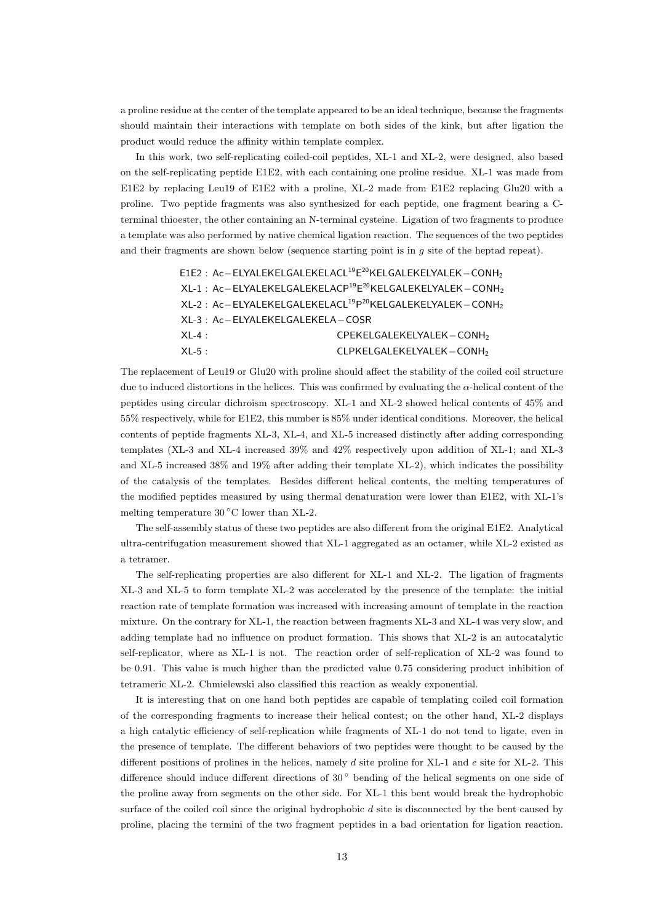a proline residue at the center of the template appeared to be an ideal technique, because the fragments should maintain their interactions with template on both sides of the kink, but after ligation the product would reduce the affinity within template complex.

In this work, two self-replicating coiled-coil peptides, XL-1 and XL-2, were designed, also based on the self-replicating peptide E1E2, with each containing one proline residue. XL-1 was made from E1E2 by replacing Leu19 of E1E2 with a proline, XL-2 made from E1E2 replacing Glu20 with a proline. Two peptide fragments was also synthesized for each peptide, one fragment bearing a Cterminal thioester, the other containing an N-terminal cysteine. Ligation of two fragments to produce a template was also performed by native chemical ligation reaction. The sequences of the two peptides and their fragments are shown below (sequence starting point is in *g* site of the heptad repeat).

```
E1E2 : Ac−ELYALEKELGALEKELACL19E
20KELGALEKELYALEK−CONH2
XL-1 : Ac−ELYALEKELGALEKELACP19E
20KELGALEKELYALEK−CONH2
XL-2 : Ac−ELYALEKELGALEKELACL19P
20KELGALEKELYALEK−CONH2
XL-3 : Ac−ELYALEKELGALEKELA−COSR
XL-4 : CPEKELGALEKELYALEK−CONH2
XL-5 : CLPKELGALEKELYALEK−CONH2
```
The replacement of Leu19 or Glu20 with proline should affect the stability of the coiled coil structure due to induced distortions in the helices. This was confirmed by evaluating the *α*-helical content of the peptides using circular dichroism spectroscopy. XL-1 and XL-2 showed helical contents of 45% and 55% respectively, while for E1E2, this number is 85% under identical conditions. Moreover, the helical contents of peptide fragments XL-3, XL-4, and XL-5 increased distinctly after adding corresponding templates (XL-3 and XL-4 increased 39% and 42% respectively upon addition of XL-1; and XL-3 and XL-5 increased 38% and 19% after adding their template XL-2), which indicates the possibility of the catalysis of the templates. Besides different helical contents, the melting temperatures of the modified peptides measured by using thermal denaturation were lower than E1E2, with XL-1's melting temperature 30 *◦*C lower than XL-2.

The self-assembly status of these two peptides are also different from the original E1E2. Analytical ultra-centrifugation measurement showed that XL-1 aggregated as an octamer, while XL-2 existed as a tetramer.

The self-replicating properties are also different for XL-1 and XL-2. The ligation of fragments XL-3 and XL-5 to form template XL-2 was accelerated by the presence of the template: the initial reaction rate of template formation was increased with increasing amount of template in the reaction mixture. On the contrary for XL-1, the reaction between fragments XL-3 and XL-4 was very slow, and adding template had no influence on product formation. This shows that XL-2 is an autocatalytic self-replicator, where as XL-1 is not. The reaction order of self-replication of XL-2 was found to be 0.91. This value is much higher than the predicted value 0.75 considering product inhibition of tetrameric XL-2. Chmielewski also classified this reaction as weakly exponential.

It is interesting that on one hand both peptides are capable of templating coiled coil formation of the corresponding fragments to increase their helical contest; on the other hand, XL-2 displays a high catalytic efficiency of self-replication while fragments of XL-1 do not tend to ligate, even in the presence of template. The different behaviors of two peptides were thought to be caused by the different positions of prolines in the helices, namely *d* site proline for XL-1 and *e* site for XL-2. This difference should induce different directions of 30 *◦* bending of the helical segments on one side of the proline away from segments on the other side. For XL-1 this bent would break the hydrophobic surface of the coiled coil since the original hydrophobic *d* site is disconnected by the bent caused by proline, placing the termini of the two fragment peptides in a bad orientation for ligation reaction.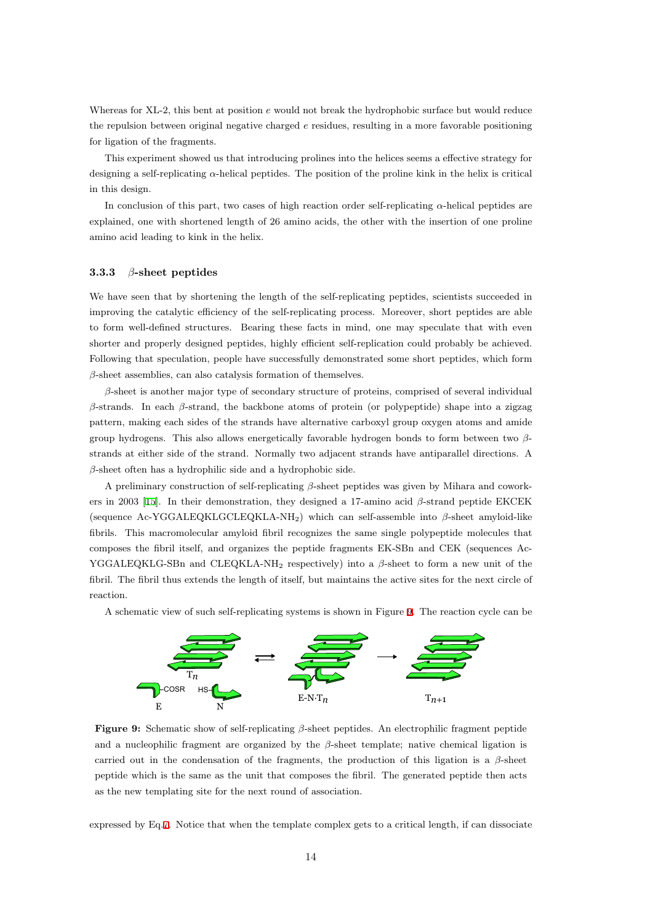Whereas for XL-2, this bent at position *e* would not break the hydrophobic surface but would reduce the repulsion between original negative charged *e* residues, resulting in a more favorable positioning for ligation of the fragments.

This experiment showed us that introducing prolines into the helices seems a effective strategy for designing a self-replicating *α*-helical peptides. The position of the proline kink in the helix is critical in this design.

In conclusion of this part, two cases of high reaction order self-replicating *α*-helical peptides are explained, one with shortened length of 26 amino acids, the other with the insertion of one proline amino acid leading to kink in the helix.

#### **3.3.3** *β***-sheet peptides**

We have seen that by shortening the length of the self-replicating peptides, scientists succeeded in improving the catalytic efficiency of the self-replicating process. Moreover, short peptides are able to form well-defined structures. Bearing these facts in mind, one may speculate that with even shorter and properly designed peptides, highly efficient self-replication could probably be achieved. Following that speculation, people have successfully demonstrated some short peptides, which form *β*-sheet assemblies, can also catalysis formation of themselves.

*β*-sheet is another major type of secondary structure of proteins, comprised of several individual *β*-strands. In each *β*-strand, the backbone atoms of protein (or polypeptide) shape into a zigzag pattern, making each sides of the strands have alternative carboxyl group oxygen atoms and amide group hydrogens. This also allows energetically favorable hydrogen bonds to form between two *β*strands at either side of the strand. Normally two adjacent strands have antiparallel directions. A *β*-sheet often has a hydrophilic side and a hydrophobic side.

A preliminary construction of self-replicating *β*-sheet peptides was given by Mihara and coworkers in 2003 [15]. In their demonstration, they designed a 17-amino acid *β*-strand peptide EKCEK (sequence Ac-YGGALEQKLGCLEQKLA-NH2) which can self-assemble into *β*-sheet amyloid-like fibrils. This macromolecular amyloid fibril recognizes the same single polypeptide molecules that composes the fibril itself, and organizes the peptide fragments EK-SBn and CEK (sequences Ac-YGGALEQ[KLG](#page-19-2)-SBn and CLEQKLA-NH<sup>2</sup> respectively) into a *β*-sheet to form a new unit of the fibril. The fibril thus extends the length of itself, but maintains the active sites for the next circle of reaction.



A schematic view of such self-replicating systems is shown in Figure 9. The reaction cycle can be

**Figure 9:** Schematic show of self-replicating *β*-sheet peptides. An electrophilic fragment peptide and a nucleophilic fragment are organized by the  $\beta$ -sheet template; native chemical ligation is carried out in the condensation of the fragments, the production of this ligation is a *β*-sheet peptide which is the same as the unit that composes the fibril. The generated peptide then acts as the new templating site for the next round of association.

expressed by Eq.7. Notice that when the template complex gets to a critical length, if can dissociate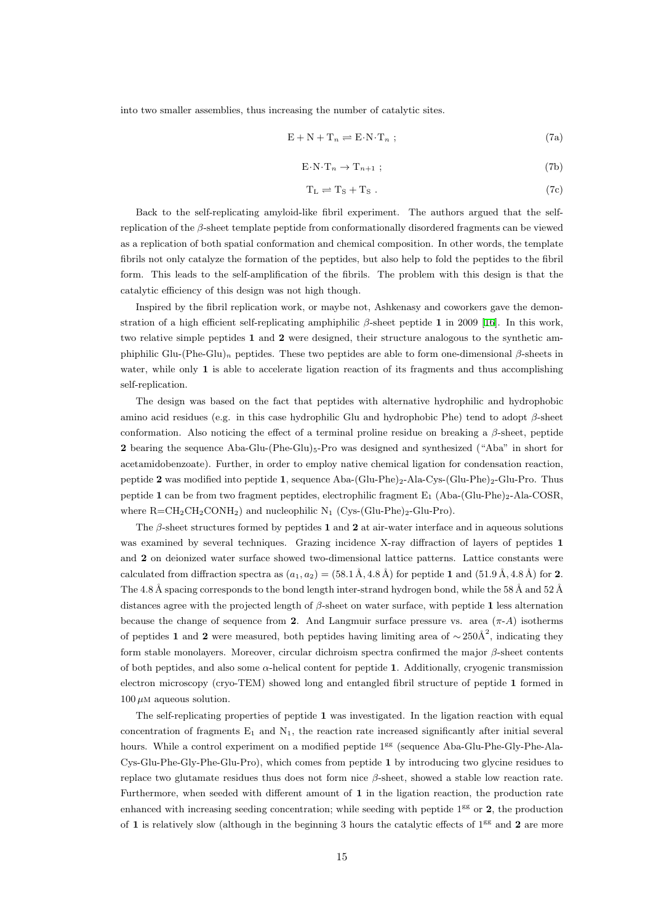into two smaller assemblies, thus increasing the number of catalytic sites.

$$
E + N + T_n \rightleftharpoons E \cdot N \cdot T_n ; \qquad (7a)
$$

$$
E \cdot N \cdot T_n \to T_{n+1} \tag{7b}
$$

$$
T_{L} \rightleftharpoons T_{S} + T_{S}. \tag{7c}
$$

Back to the self-replicating amyloid-like fibril experiment. The authors argued that the selfreplication of the *β*-sheet template peptide from conformationally disordered fragments can be viewed as a replication of both spatial conformation and chemical composition. In other words, the template fibrils not only catalyze the formation of the peptides, but also help to fold the peptides to the fibril form. This leads to the self-amplification of the fibrils. The problem with this design is that the catalytic efficiency of this design was not high though.

Inspired by the fibril replication work, or maybe not, Ashkenasy and coworkers gave the demonstration of a high efficient self-replicating amphiphilic *β*-sheet peptide **1** in 2009 [16]. In this work, two relative simple peptides **1** and **2** were designed, their structure analogous to the synthetic amphiphilic Glu-(Phe-Glu)*<sup>n</sup>* peptides. These two peptides are able to form one-dimensional *β*-sheets in water, while only 1 is able to accelerate ligation reaction of its fragments and t[hus](#page-19-3) accomplishing self-replication.

The design was based on the fact that peptides with alternative hydrophilic and hydrophobic amino acid residues (e.g. in this case hydrophilic Glu and hydrophobic Phe) tend to adopt *β*-sheet conformation. Also noticing the effect of a terminal proline residue on breaking a *β*-sheet, peptide 2 bearing the sequence Aba-Glu-(Phe-Glu)<sub>5</sub>-Pro was designed and synthesized ("Aba" in short for acetamidobenzoate). Further, in order to employ native chemical ligation for condensation reaction, peptide 2 was modified into peptide 1, sequence Aba-(Glu-Phe)<sub>2</sub>-Ala-Cys-(Glu-Phe)<sub>2</sub>-Glu-Pro. Thus peptide 1 can be from two fragment peptides, electrophilic fragment  $E_1$  (Aba-(Glu-Phe)<sub>2</sub>-Ala-COSR, where  $R = CH_2CH_2CONH_2$  and nucleophilic  $N_1$  (Cys-(Glu-Phe)<sub>2</sub>-Glu-Pro).

The *β*-sheet structures formed by peptides **1** and **2** at air-water interface and in aqueous solutions was examined by several techniques. Grazing incidence X-ray diffraction of layers of peptides **1** and **2** on deionized water surface showed two-dimensional lattice patterns. Lattice constants were calculated from diffraction spectra as  $(a_1, a_2) = (58.1 \text{ Å}, 4.8 \text{ Å})$  for peptide 1 and  $(51.9 \text{ Å}, 4.8 \text{ Å})$  for 2. The 4.8 Å spacing corresponds to the bond length inter-strand hydrogen bond, while the 58 Å and 52 Å distances agree with the projected length of *β*-sheet on water surface, with peptide **1** less alternation because the change of sequence from **2**. And Langmuir surface pressure vs. area  $(\pi - A)$  isotherms of peptides **1** and **2** were measured, both peptides having limiting area of  $\sim$ 250Å<sup>2</sup>, indicating they form stable monolayers. Moreover, circular dichroism spectra confirmed the major *β*-sheet contents of both peptides, and also some *α*-helical content for peptide **1**. Additionally, cryogenic transmission electron microscopy (cryo-TEM) showed long and entangled fibril structure of peptide **1** formed in  $100 \mu M$  aqueous solution.

The self-replicating properties of peptide **1** was investigated. In the ligation reaction with equal concentration of fragments  $E_1$  and  $N_1$ , the reaction rate increased significantly after initial several hours. While a control experiment on a modified peptide 1<sup>gg</sup> (sequence Aba-Glu-Phe-Gly-Phe-Ala-Cys-Glu-Phe-Gly-Phe-Glu-Pro), which comes from peptide **1** by introducing two glycine residues to replace two glutamate residues thus does not form nice *β*-sheet, showed a stable low reaction rate. Furthermore, when seeded with different amount of **1** in the ligation reaction, the production rate enhanced with increasing seeding concentration; while seeding with peptide 1<sup>gg</sup> or **2**, the production of 1 is relatively slow (although in the beginning 3 hours the catalytic effects of  $1^{gs}$  and 2 are more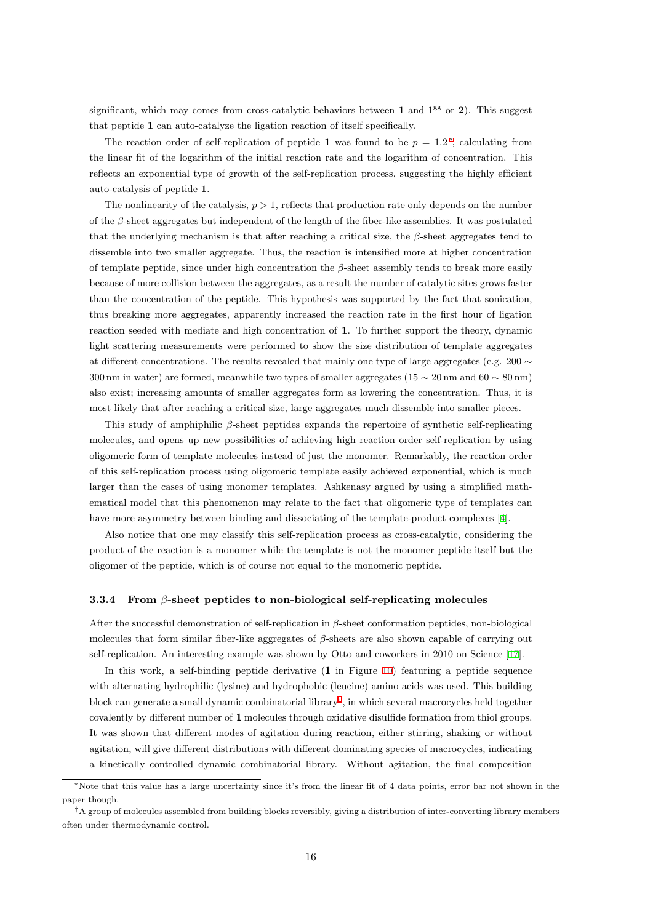significant, which may comes from cross-catalytic behaviors between  $1$  and  $1<sup>gg</sup>$  or  $2$ ). This suggest that peptide **1** can auto-catalyze the ligation reaction of itself specifically.

The reaction order of self-replication of peptide 1 was found to be  $p = 1.2^*$ , calculating from the linear fit of the logarithm of the initial reaction rate and the logarithm of concentration. This reflects an exponential type of growth of the self-replication process, suggesting the highly efficient auto-catalysis of peptide **1**.

The nonlinearity of the catalysis,  $p > 1$ , reflects that production rate only depends on the number of the *β*-sheet aggregates but independent of the length of the fiber-like assemblies. It was postulated that the underlying mechanism is that after reaching a critical size, the *β*-sheet aggregates tend to dissemble into two smaller aggregate. Thus, the reaction is intensified more at higher concentration of template peptide, since under high concentration the *β*-sheet assembly tends to break more easily because of more collision between the aggregates, as a result the number of catalytic sites grows faster than the concentration of the peptide. This hypothesis was supported by the fact that sonication, thus breaking more aggregates, apparently increased the reaction rate in the first hour of ligation reaction seeded with mediate and high concentration of **1**. To further support the theory, dynamic light scattering measurements were performed to show the size distribution of template aggregates at different concentrations. The results revealed that mainly one type of large aggregates (e.g. 200 *∼* 300 nm in water) are formed, meanwhile two types of smaller aggregates (15 *∼* 20 nm and 60 *∼* 80 nm) also exist; increasing amounts of smaller aggregates form as lowering the concentration. Thus, it is most likely that after reaching a critical size, large aggregates much dissemble into smaller pieces.

This study of amphiphilic *β*-sheet peptides expands the repertoire of synthetic self-replicating molecules, and opens up new possibilities of achieving high reaction order self-replication by using oligomeric form of template molecules instead of just the monomer. Remarkably, the reaction order of this self-replication process using oligomeric template easily achieved exponential, which is much larger than the cases of using monomer templates. Ashkenasy argued by using a simplified mathematical model that this phenomenon may relate to the fact that oligomeric type of templates can have more asymmetry between binding and dissociating of the template-product complexes [4].

Also notice that one may classify this self-replication process as cross-catalytic, considering the product of the reaction is a monomer while the template is not the monomer peptide itself but the oligomer of the peptide, which is of course not equal to the monomeric peptide.

#### **3.3.4 From** *β***-sheet peptides to non-biological self-replicating molecules**

<span id="page-15-0"></span>After the successful demonstration of self-replication in *β*-sheet conformation peptides, non-biological molecules that form similar fiber-like aggregates of *β*-sheets are also shown capable of carrying out self-replication. An interesting example was shown by Otto and coworkers in 2010 on Science [17].

In this work, a self-binding peptide derivative (**1** in Figure 10) featuring a peptide sequence with alternating hydrophilic (lysine) and hydrophobic (leucine) amino acids was used. This building block can generate a small dynamic combinatorial library*†* , in which several macrocycles held to[geth](#page-19-4)er covalently by different number of **1** molecules through oxidative dis[ulfi](#page-16-0)de formation from thiol groups. It was shown that different modes of agitation during reaction, either stirring, shaking or without agitation, will give different distributions with different [do](#page-15-1)minating species of macrocycles, indicating a kinetically controlled dynamic combinatorial library. Without agitation, the final composition

*<sup>∗</sup>*Note that this value has a large uncertainty since it's from the linear fit of 4 data points, error bar not shown in the paper though.

<span id="page-15-1"></span>*<sup>†</sup>*A group of molecules assembled from building blocks reversibly, giving a distribution of inter-converting library members often under thermodynamic control.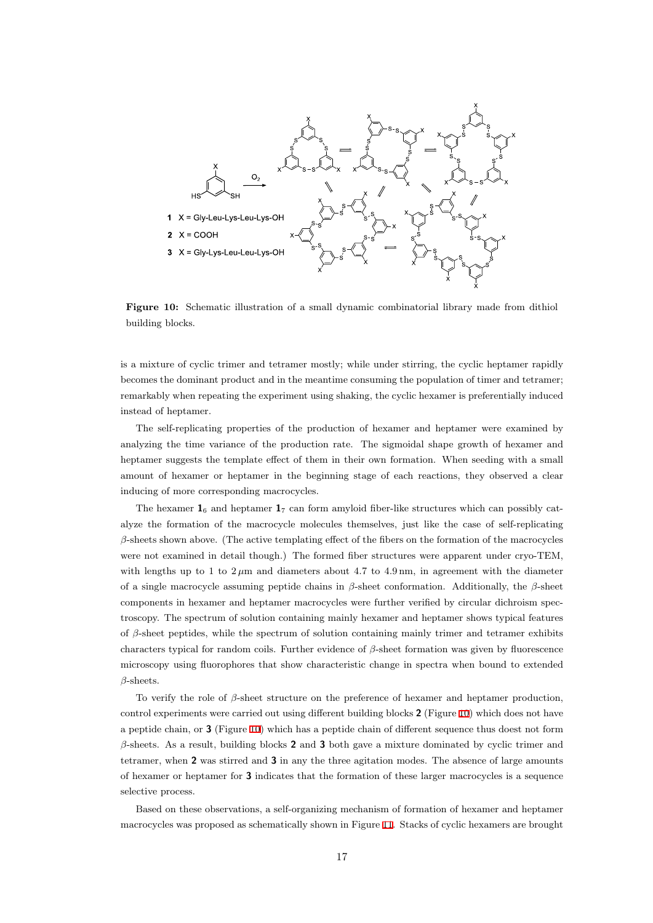<span id="page-16-0"></span>

**Figure 10:** Schematic illustration of a small dynamic combinatorial library made from dithiol building blocks.

is a mixture of cyclic trimer and tetramer mostly; while under stirring, the cyclic heptamer rapidly becomes the dominant product and in the meantime consuming the population of timer and tetramer; remarkably when repeating the experiment using shaking, the cyclic hexamer is preferentially induced instead of heptamer.

The self-replicating properties of the production of hexamer and heptamer were examined by analyzing the time variance of the production rate. The sigmoidal shape growth of hexamer and heptamer suggests the template effect of them in their own formation. When seeding with a small amount of hexamer or heptamer in the beginning stage of each reactions, they observed a clear inducing of more corresponding macrocycles.

The hexamer  $\mathbf{1}_6$  and heptamer  $\mathbf{1}_7$  can form amyloid fiber-like structures which can possibly catalyze the formation of the macrocycle molecules themselves, just like the case of self-replicating *β*-sheets shown above. (The active templating effect of the fibers on the formation of the macrocycles were not examined in detail though.) The formed fiber structures were apparent under cryo-TEM, with lengths up to 1 to  $2 \mu m$  and diameters about 4.7 to 4.9 nm, in agreement with the diameter of a single macrocycle assuming peptide chains in *β*-sheet conformation. Additionally, the *β*-sheet components in hexamer and heptamer macrocycles were further verified by circular dichroism spectroscopy. The spectrum of solution containing mainly hexamer and heptamer shows typical features of *β*-sheet peptides, while the spectrum of solution containing mainly trimer and tetramer exhibits characters typical for random coils. Further evidence of *β*-sheet formation was given by fluorescence microscopy using fluorophores that show characteristic change in spectra when bound to extended *β*-sheets.

To verify the role of *β*-sheet structure on the preference of hexamer and heptamer production, control experiments were carried out using different building blocks **2** (Figure 10) which does not have a peptide chain, or **3** (Figure 10) which has a peptide chain of different sequence thus doest not form *β*-sheets. As a result, building blocks **2** and **3** both gave a mixture dominated by cyclic trimer and tetramer, when **2** was stirred and **3** in any the three agitation modes. The a[bse](#page-16-0)nce of large amounts of hexamer or heptamer for **3** [in](#page-16-0)dicates that the formation of these larger macrocycles is a sequence selective process.

Based on these observations, a self-organizing mechanism of formation of hexamer and heptamer macrocycles was proposed as schematically shown in Figure 11. Stacks of cyclic hexamers are brought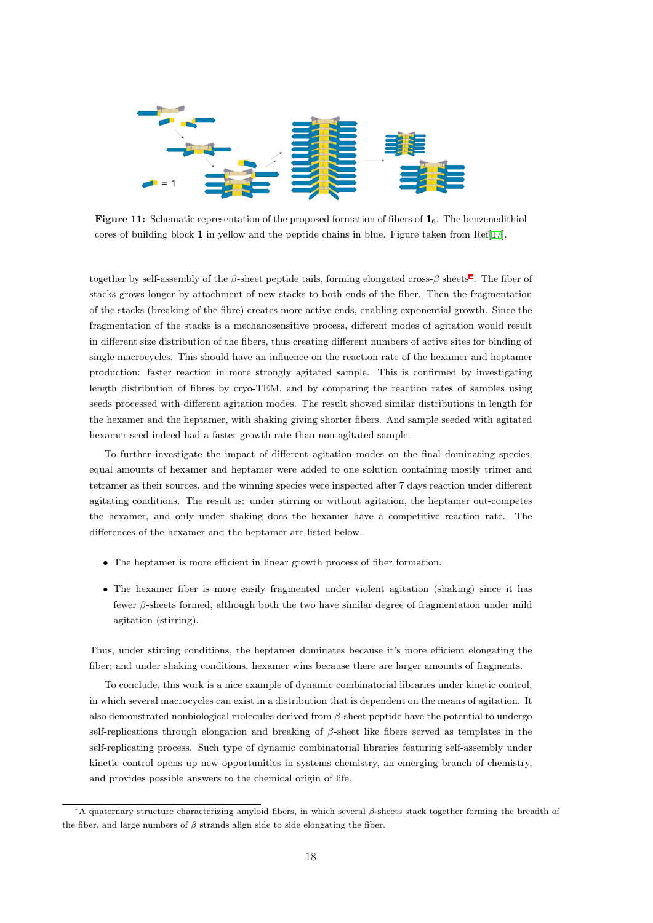

**Figure 11:** Schematic representation of the proposed formation of fibers of **1**6. The benzenedithiol cores of building block **1** in yellow and the peptide chains in blue. Figure taken from Ref[17].

together by self-assembly of the *β*-sheet peptide tails, forming elongated cross-*β* sheets*<sup>∗</sup>* . The fiber of stacks grows longer by attachment of new stacks to both ends of the fiber. Then the frag[men](#page-19-4)tation of the stacks (breaking of the fibre) creates more active ends, enabling exponential growth. Since the fragmentation of the stacks is a mechanosensitive process, different modes of agitatio[n](#page-17-0) would result in different size distribution of the fibers, thus creating different numbers of active sites for binding of single macrocycles. This should have an influence on the reaction rate of the hexamer and heptamer production: faster reaction in more strongly agitated sample. This is confirmed by investigating length distribution of fibres by cryo-TEM, and by comparing the reaction rates of samples using seeds processed with different agitation modes. The result showed similar distributions in length for the hexamer and the heptamer, with shaking giving shorter fibers. And sample seeded with agitated hexamer seed indeed had a faster growth rate than non-agitated sample.

To further investigate the impact of different agitation modes on the final dominating species, equal amounts of hexamer and heptamer were added to one solution containing mostly trimer and tetramer as their sources, and the winning species were inspected after 7 days reaction under different agitating conditions. The result is: under stirring or without agitation, the heptamer out-competes the hexamer, and only under shaking does the hexamer have a competitive reaction rate. The differences of the hexamer and the heptamer are listed below.

- The heptamer is more efficient in linear growth process of fiber formation.
- The hexamer fiber is more easily fragmented under violent agitation (shaking) since it has fewer *β*-sheets formed, although both the two have similar degree of fragmentation under mild agitation (stirring).

Thus, under stirring conditions, the heptamer dominates because it's more efficient elongating the fiber; and under shaking conditions, hexamer wins because there are larger amounts of fragments.

To conclude, this work is a nice example of dynamic combinatorial libraries under kinetic control, in which several macrocycles can exist in a distribution that is dependent on the means of agitation. It also demonstrated nonbiological molecules derived from *β*-sheet peptide have the potential to undergo self-replications through elongation and breaking of *β*-sheet like fibers served as templates in the self-replicating process. Such type of dynamic combinatorial libraries featuring self-assembly under kinetic control opens up new opportunities in systems chemistry, an emerging branch of chemistry, and provides possible answers to the chemical origin of life.

<span id="page-17-0"></span>*<sup>∗</sup>*A quaternary structure characterizing amyloid fibers, in which several *β*-sheets stack together forming the breadth of the fiber, and large numbers of  $\beta$  strands align side to side elongating the fiber.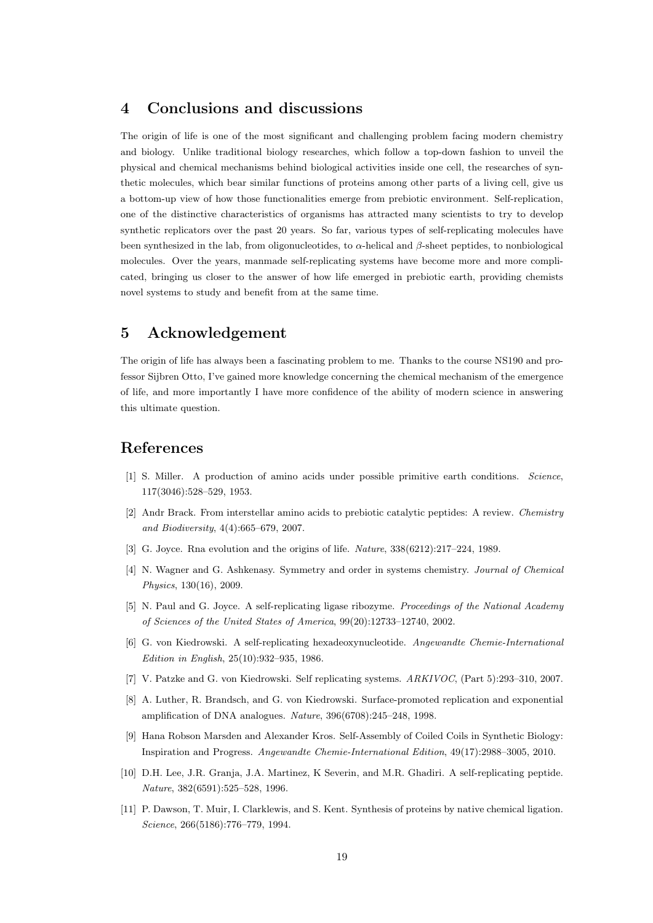## <span id="page-18-0"></span>**4 Conclusions and discussions**

The origin of life is one of the most significant and challenging problem facing modern chemistry and biology. Unlike traditional biology researches, which follow a top-down fashion to unveil the physical and chemical mechanisms behind biological activities inside one cell, the researches of synthetic molecules, which bear similar functions of proteins among other parts of a living cell, give us a bottom-up view of how those functionalities emerge from prebiotic environment. Self-replication, one of the distinctive characteristics of organisms has attracted many scientists to try to develop synthetic replicators over the past 20 years. So far, various types of self-replicating molecules have been synthesized in the lab, from oligonucleotides, to *α*-helical and *β*-sheet peptides, to nonbiological molecules. Over the years, manmade self-replicating systems have become more and more complicated, bringing us closer to the answer of how life emerged in prebiotic earth, providing chemists novel systems to study and benefit from at the same time.

## **5 Acknowledgement**

The origin of life has always been a fascinating problem to me. Thanks to the course NS190 and professor Sijbren Otto, I've gained more knowledge concerning the chemical mechanism of the emergence of life, and more importantly I have more confidence of the ability of modern science in answering this ultimate question.

## <span id="page-18-1"></span>**References**

- [1] S. Miller. A production of amino acids under possible primitive earth conditions. *Science*, 117(3046):528–529, 1953.
- <span id="page-18-2"></span>[2] Andr Brack. From interstellar amino acids to prebiotic catalytic peptides: A review. *Chemistry and Biodiversity*, 4(4):665–679, 2007.
- <span id="page-18-3"></span>[3] G. Joyce. Rna evolution and the origins of life. *Nature*, 338(6212):217–224, 1989.
- [4] N. Wagner and G. Ashkenasy. Symmetry and order in systems chemistry. *Journal of Chemical Physics*, 130(16), 2009.
- [5] N. Paul and G. Joyce. A self-replicating ligase ribozyme. *Proceedings of the National Academy of Sciences of the United States of America*, 99(20):12733–12740, 2002.
- [6] G. von Kiedrowski. A self-replicating hexadeoxynucleotide. *Angewandte Chemie-International Edition in English*, 25(10):932–935, 1986.
- [7] V. Patzke and G. von Kiedrowski. Self replicating systems. *ARKIVOC*, (Part 5):293–310, 2007.
- <span id="page-18-4"></span>[8] A. Luther, R. Brandsch, and G. von Kiedrowski. Surface-promoted replication and exponential amplification of DNA analogues. *Nature*, 396(6708):245–248, 1998.
- [9] Hana Robson Marsden and Alexander Kros. Self-Assembly of Coiled Coils in Synthetic Biology: Inspiration and Progress. *Angewandte Chemie-International Edition*, 49(17):2988–3005, 2010.
- <span id="page-18-5"></span>[10] D.H. Lee, J.R. Granja, J.A. Martinez, K Severin, and M.R. Ghadiri. A self-replicating peptide. *Nature*, 382(6591):525–528, 1996.
- <span id="page-18-6"></span>[11] P. Dawson, T. Muir, I. Clarklewis, and S. Kent. Synthesis of proteins by native chemical ligation. *Science*, 266(5186):776–779, 1994.